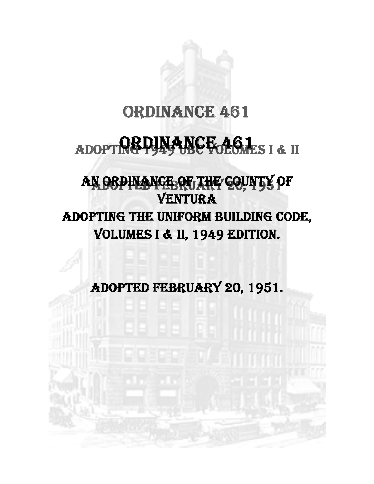## ORDINANCE 461

## $\overline{\phantom{0}}$ ADOPT**REPLAANCE 461** SI & II

# AN OBPINANCE OF THE COUNTY OF VENTURA ADOPTING THE UNIFORM BUILDING CODE, VOLUMES I & II, 1949 EDITION.

ADOPTED FEBRUARY 20, 1951.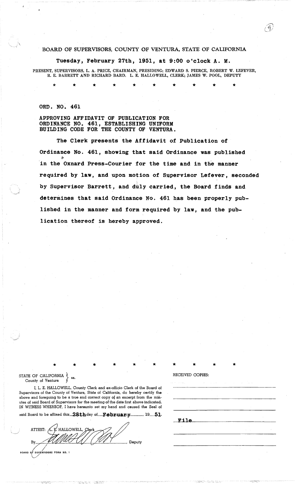#### BOARD OF SUPERVISORS, COUNTY OF VENTURA, STATE OF CALIFORNIA

, .......... c~·./

Tuesday, February 27th, 1951, at 9:00 o'clock A. M.

PRESENT, SUPERVISORS, L. A. PRICE, CHAIRMAN, PRESIDING; EDWARD S. PIERCE, ROBERT W. LEFEVER, R. E. BARRETT AND RICHARD BARD. L. E. HALLOWELL, CLERK; JAMES W. POOL, DEPUTY

\* \* \* \* \* \* \* \* \* \*

ORD. NO. 461

APPROVING AFFIDAVIT OF PUBLICATION FOR ORDINANCE NO. 461, ESTABLISHING UNIFORM BUILDING CODE FOR THE COUNTY OF VENTURA.

The Clerk presents the Affidavit of Publication of Ordinance No. 461, showing that said Ordinance was published & in the Oxnard Press-Courier for the time and in the manner required by law, and upon motion of Supervisor Lefever, seconded by Supervisor Barrett, and duly carried, the Board finds and determines that said Ordinance No. 461 has been properly published in the manner and form required by law, and the publication thereof is hereby approved.

STATE OF CALIFORNIA County of Ventura

I, 1. E. HALLOWELL, County Clerk and ex-officio Clerk of the Board of Supervisors of the County of Ventura, State of California, do hereby certify the above and foregoing to be a true and correct copy of an excerpt from the minutes of said Board of Supervisors for the meeting of the date first above indicated. IN WITNESS WHEREOF, I have hereunto set my hand and caused the Seal of

said Board to be affixed this  $28th$  day of February , 19 51.

By, .<br>BOARD OF SUPERVISORS FORM NO. 1  $\sim$  $\smallsmile$ lerk<br>*(MA* Deputy

\* \* \* \* \* \* \* \* \* \* RECEIVED COPIES:

File

.-;;~~;:-":.< ,.-:: -<;~:;;~~:~~~.: .-; .;~;: ; -,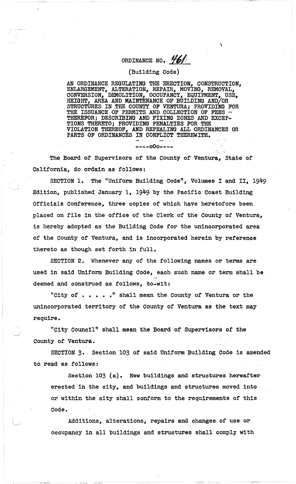## ORDINANCE NO.  $#61$

"'\

### (Building Code)

AN ORDINANCE REGULATING THE ERECTION, CONSTRUCTION, ENLARGEMENT, ALTERATION, REPAIR1 MOVING, REMOVAL, CONVERSION, DEMOLITION, OCCUPANCY, EQUIPMENT, USE, HEIGHT, AREA AND MAINTENANCE OF BUILDING AND/OR STRUCTURES IN THE COUNTY OF VENTURA; PROVIDING FOR THE ISSUANCE OF PERMITS AND COLLECTION OF FEES - THEREFOR; DESCRIBING AND FIXING ZONES AND EXCEP-TIONS THERETO; PROVIDING PENALTIES FOR THE VIOLATION THEREOF, AND REPEALING ALL ORDINANCES OR PARTS OF ORDINANCES IN CONFLICT THEREWITH.

----000----

The Board of Supervisors of the County of Ventura, State of California, do ordain as follows:

SECTION 1. The "Uniform Building Code", Volumes I and II, 1949 Edition, published January 1, 1949 by the Pacific Coast Building Officials Conference, three copies of which have heretofore been placed on file in the office of the Clerk of the County of Ventura, is hereby adopted as the BUilding Code for the unincorporated area of the County of Ventura, and is incorporated herein by reference thereto as though set forth in full.

SECTION 2. Whenever any of the following names or terms are used in said Uniform Building Code, each such name or term shall be deemed and construed as follows, to-wit:

"City of  $\cdots$ ," shall mean the County of Ventura or the unincorporated territory of the County of Ventura as the text may reqUire.

"City Council" shall mean the Board of Supervisors of the County of Ventura.

SECTION 3. Section 103 of said Uniform Building Code 1s amended to read as follows:

Section 103 (a). New buildings and structures hereafter erected in the city, and bUildings and struotures moved into or within the city shall conform to the requirements of this Code.

Additions, alterations, repairs and changes of use or occupancy in all buildings and structures shall comply with

 $\cdot$  ),  $\cdot$  ,  $\cdot$  ,  $\cdot$  ,  $\cdot$  ,  $\cdot$  ,  $\cdot$  ,  $\cdot$  ,  $\cdot$  ,  $\cdot$  ,  $\cdot$  ,  $\cdot$  ,  $\cdot$  ,  $\cdot$  ,  $\cdot$  ,  $\cdot$  ,  $\cdot$  ,  $\cdot$  ,  $\cdot$  ,  $\cdot$  ,  $\cdot$  ,  $\cdot$  ,  $\cdot$  ,  $\cdot$  ,  $\cdot$  ,  $\cdot$  ,  $\cdot$  ,  $\cdot$  ,  $\cdot$  ,  $\cdot$  ,  $\cdot$  ,  $\cdot$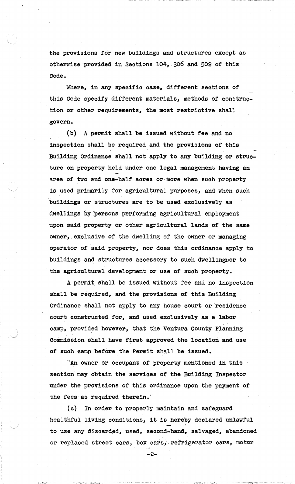the provisions for new buildings and structures exoept as otherwise provided in Sections 104, 306 and 502 of this Code.

Where, in any specific case, different sections of this Code specify different materials, methods of construction or other requirements, the most restrictive shall govern.

A permit shall be issued without fee and no  $(b)$ inspection shall be required and the provisions of this Building Ordinance shall not apply to any building or structure on property held under one legal management having an area of two and one-half acres or more when such property is used primarily for agricultural purposes, and when such buildings or structures are to be used exclusively as dwellings by persons performing agricultural employment upon said property or other agricultural lands of the same owner, exclusive of the dwelling of the owner or managing operator of said property, nor does this ordinance apply to buildings and structures accessory to such dwellings or to the agricultural development or use of such property.

A permit shall be issued without fee and no inspection shall be required, and the provisions of this Building Ordinance shall not apply to any house court or residence court constructed for, and used exclusively as a labor camp, provided however, that the Ventura County Planning Commission shall have first approved the location and use of such camp before the Permit shall be issued.

"An owner or occupant of property mentioned in this section may obtain the services of the Building Inspector under the provisions of this ordinance upon the payment of the fees as required therein."

In order to properly maintain and safeguard (c) | healthful living conditions, it is hereby declared unlawful to use any discarded, used, second-hand, salvaged, abandoned or replaced street cars, box cars, refrigerator cars, motor

-2-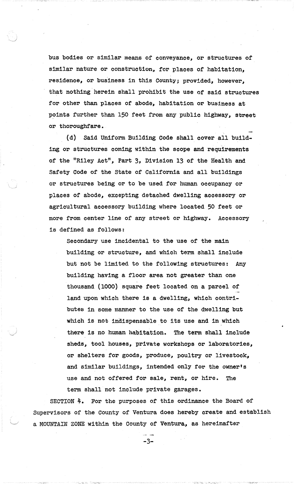bus bodies or similar means of conveyance, or structures of similar nature or construction, for plaoes of habitation, residence, or business in this County; provided, however, that nothing herein shall prohibit the use or said structures for other than places of abode, habitation or business at points further than 150 feet from any public highway, street or thoroughfare.

(d) Said Uniform Building Code shall cover all building or structures coming within the scope and requirements of the "Riley Act", Part 3, Division 13 of the Health and Safety Code of the State of California and all buildings or structures being or to be used for human occupancy or places of abode, excepting detached dwelling accessory or agricultural accessory building where located 50 feet or more from center line of any street or highway. Accessory 1s defined as follows:

Secondary use incidental to the use of the main building or structure, and which term shall include but not be limited to the following structures: Any building having a floor area not greater than one thousand (1000) square teet located on a parcel of land upon which there is a dwelling, which contributes in some manner to the use of the dwelling but which 1s not indispensable to its use and 1n which there 1s no human habitation. The term shall include sheds, tool houses, private workshops or laboratories, or shelters for goods, produce, poultry or livestock, and similar buildings, intended only for the owner's use and not offered for sale, rent, or hire. The term shall not include private garages.

SECTION  $4$ . For the purposes of this ordinance the Board of Supervisors of the County of Ventura does hereby create and establish a MOUNTAIN ZONE within the County of Ventura, as hereinafter

-3-

; ~; J - '~'. .~.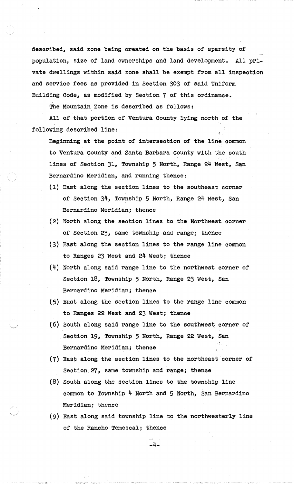described, said zone being created on the basis of sparsity of population, size of land ownerships and land development. All private dwellings within said zone shall be exempt from all inspection and service fees as provided in Section 303 of said Uniform Building Code, as modified by Section 7 of this ordinance.

The Mountain Zone is described as follows:

All of that portion of Ventura County lying north of the following described line:

Beginning at the point of intersection or the line common to Ventura County and Santa Barbara County with the south . lines of Section 31, Township 5 North, Range 24 West, San Bernardino Meridian, and running thence:

- (1) East along the section lines to the southeast corner of Section 34, Township 5 North, Range 24 west, San Bernardino Meridian; thence
- (2). North along the section lines to the Northwest corner of Section 23, same township and range; thence
- (3) East along the section lines to the range line common to Ranges 23 West and 24 West; thence
- (4) North along said range line to the northwest corner of Section 18, Township 5 North, Range 23 West, San Bernardino Meridian; thence
- (5) East along the section lines to the range line common to Ranges 22 West and 23 west; thence
- $\cdot$  . (6) South along said range line to the southwest corner of Section 19, Township 5 North, Range 22 West, San Bernardino Meridian; thence
- (7) East along the section lines to the northeast corner of Section 27, same township and range; thence
- (8) South along the section lines to the township line common to Township 4 North and 5 North, San Bernardino Meridian; thence
- (9) East along said township line to the northwesterly line of the Rancho Temescal; thence

-4-

..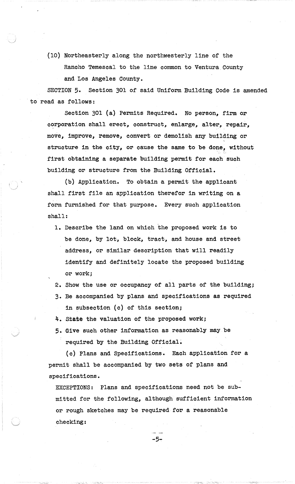(10) Northeasterly along the northwesterly line of the Rancho Temescal to the line common to Ventura County and Los Angeles County.

SECTION 5. Section 301 of said Uniform Building Code is amended 'to read as follows:

Section 301 (a) Permits Required. No person, firm or corporation shall erect, construct, enlarge, alter, repair, move, improve, remove, convert or demolish any building or structure in the city, or cause the same to be done, without first obtaining a separate building permit for each such building or structure from the Building Official.

(b) Application. To obtain a permit the applicant shall first file an application therefor in writing on a form furnished for that purpose. Every such application shall:

- 1. Describe the land on which the proposed work is to be done, by lot, block, tract, and house and street address, or similar description that will readily identify and definitely locate the proposed building or work;
- 2. Show the use or ocoupancy of all parts of the building; 3. Be aocompanied by plans and specifications as required in subsection (c) of this section;
- 4. state the valuation of the proposed work;
- 5. Give such other information as reasonably maybe required by the Building Official.

(c) Plans and Specifications. Each application for a permit shall be accompanied by two sets of plans and specifications.

EXCEPTIONS: Plans and speoifications need not be submitted for the following, although sufficient information or rough sketches may be required for a reasonable checking:

-5~

 $\sim$   $\sim$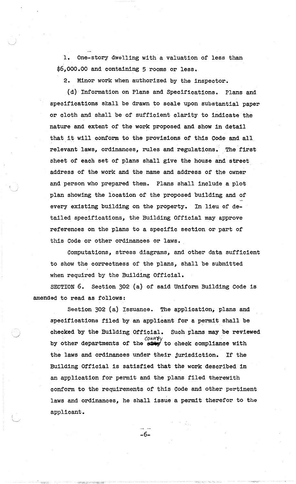1. One-story dwelling with a valuation of less than \$6,000.00 and containing 5 rooms or less.

2. Minor work when authorized by the inspector.

(d)· Information on Plans and Specifications. Plans and specifications shall be drawn to scale upon substantial paper or cloth and shall be of sufficient clarity to indicate the nature and extent of the work proposed and show in detail that it will conform to the provisions of this Code and all relevant laws, ordinances, rules and regulations. The first sheet of eaoh set of plans shall give the house and street address of the work and the name and address or the owner and person who prepared them. Plans shall include a plot plan showing the location of the proposed building and of every existing building on the property. In lieu of detailed specifications, the Building Official may approve references on the plans to a specific section or part of this Code or other ordinances or laws.

Computations, stress diagrams, and other data sufficient to show the correctness of the plans, shall be submitted when required by the Building Official.

SECTION 6. Section 302 (a) of said Uniform Building Code is amended to read as follows:

Section 302 (a) Issuance. The application, plans and specifications filed by an applicant for a permit shall be checked by the Building Official. Sueh plans may be reviewed enecked by the Building Official. Such plans may be revi-<br>county<br>by other departments of the stay to check compliance with the laws and ordinances under their jurisdiction. If the Building Official 1s satisfied that the work described in an application for permit and the plans filed therewith conform to the requirements of this Code and other pertinent laws and ordinances, he shall issue a permit therefor to the applicant.

-6-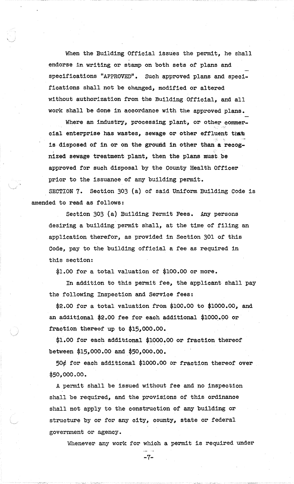When the Building Official issues the permit, he shall endorse in writing or stamp on both sets of plans and specifications "APPROVED". Such approved plans and specifications shall not be changed, modified or altered without authorization from the Building·Official, and all work shall be done in accordanoe with the approved plans.

Where an industry, processing plant, or other commer-~\_:- • ."c,-~••: cial enterprise has wastes, sewage or other effluent that is-disposed of in or on the ground in other than a recognized sewage treatment plant, then the plans must be approved for such disposal by the county Health Officer prior to the issuance of any building permit.

SECTION 7. Section 303 (a) of said Uniform Building Code is amended to read as follows:

Section 303 (a) Building Permit Fees. Any persons desiring a building permit shall, at the time of filing an application therefor, as provided in Section 301 of this Code, pay to the building official a fee as required in this section:

\$1.00 for a total valuation of \$100.00 or more.

In addition to this permit fee, the applicant shall pay the following Inspection and Service fees:

 $$2.00$  for a total valuation from  $$100.00$  to  $$1000.00$ , and an additional \$2.00 fee for each additional \$1000.00 or fraction thereof up to \$15,000.00.

 $$1.00$  for each additional  $$1000.00$  or fraction thereof between \$15,000.00 and \$50,000.00.

50¢ for each additional \$1000.00 or fraction thereof over \$50,000.00.

A permit shall be issued without fee and no inspection shall be required, and the provisions of this ordinance shall not apply to the construction of any building or structure by or for any city, county, state or federal government or agency.

Whenever any work for which a permit is required under

*,..-:\_..r>.>::*

-7-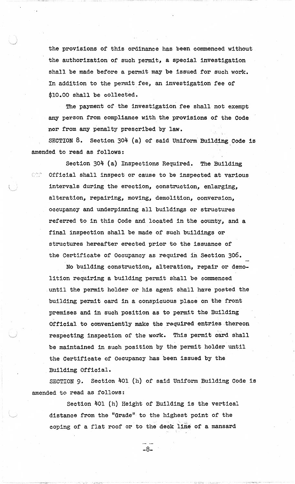the provisions or this ordinance has been commenced without the authorization of such permit, a special investigation shall be made before a permit may be issued for such work. In addition to the permit fee, an investigation fee of \$10.00 shall be collected.

The payment of the investigation fee shall not exempt any person from compliance with the provisions of the Code nor from any penalty prescribed by law.

SECTION  $8.$  Section  $304$  (a) of said Uniform Building Code is amended to read as follows:

Section 304 (a) Inspections Required. The BUilding  $\circ$  . Official shall inspect or cause to be inspected at various intervals during the erection, construction, enlarging, alteration, repairing, moving, demolition, conversion, occupancy and underpinning all buildings or structures referred to 1n this Code and located in the county, and a final inspection shall be made of such buildings or structures hereafter erected prior to the issuance of the Certificate of Occupancy as required in Section 306.

No bUilding construction, alteration, repair or demolition requiring a building permit shall be commenced .until the permit holder or his agent shall have posted the building permit oard in a conspicuous place on the front premises and in such position as to permit the Building Official to conveniently make the required entries-thereon respecting inspection of the work. This permit card shall be maintained in such position by the permit holder until the Certificate of Occupancy has been issued by the Building Official.

SECTION 9. Section 401 (h) of said Uniform Building Code is amended to read as follows:

Section 401 (h) Height of Building 1s the vertical distance from the "Grade" to the highest point of the coping of a flat roof or to the deck line of a mansard

-8-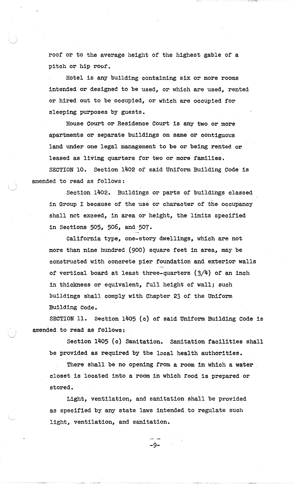roof or to the average height of the highest gable of a pitch or hip roof.

Hotel is any building containing six or more rooms intended or designed to be used, or which are used, rented or hired out to be occupied, or which are occupied for sleeping purposes by guests.

House Court or Residence Court is any two or more apartments or separate bUildings on same or contiguous land under one legal management to be or being rented or leased as living quarters for two or more families. SECTION 10. Section 1402 of said Uniform Building Code is amended to read as follows:

Section 1402. BUildings or parts of buildings classed in Group I because of the use or character of the occupancy shall not exceed, in area or height, the limits specified in Sections 505, *506,* and 507.

California type, one-story dwellings, which are not more than nine hundred (900) square feet in area, may be constructed with conorete pier foundation and exterior walls of vertical board at least three-quarters  $(3/4)$  of an inch in thickness or equivalent, full height of wall; such buildings shall comply with Chapter 23 of the Uniform BUilding Code.

SECTION 11. Section 1405 (c) of said Uniform Building Code is amended to read as follows:

Section 1405 (c) Sanitation. Sanitation facilities shall be provided as required by the local health authorities.

There shall be no opening from a room in which a water closet is located into a room in which food 1s prepared or stored.

Light, ventilation, and sanitation shall be provided as specified by any state laws intended to regulate such light, ventilation, and sanitation.

 $...$   $...$ 

-9-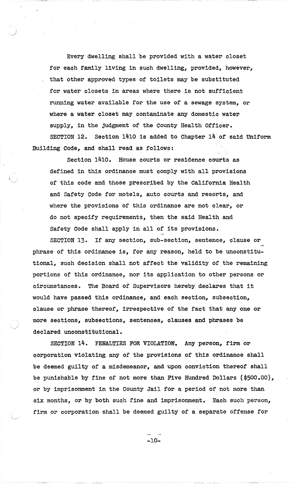Every dwelling shall be provided with a water closet for each family living in such dwelling, provided, however, that other approved types of toilets may be substituted for water closets in areas where there is not sufficient running water available for the use of a sewage system, or where a water closet may contaminate any domestic water supply, in the judgment of the County Health Officer. SECTION 12. Section 1410 is added to Chapter 14'of said Uniform Building Code, and shall read as follows:

Section 1410. House courts or residence courts as defined in this ordinance must comply With all provisions of this code and those prescribed by the California Health and Safety Code for motels, auto courts and resorts, and where the provisions of this ordinance are not clear, or do not specify requirements, then the said Health and Safety Code shall apply in all of its provisions.

SECTION 13. If any section, sub-section, sentence, clause or phrase of this ordinance is, for any reason, held to be unconstitutional, such decision shall not affeot the validity of the remaining portions of this ordinance, nor its application to other persons or circumstances. The Board of SuperVisors hereby declares that it would have passed this ordinance, and each section, subsection, clause or phrase thereof, irrespective of the fact that anyone or more sections, subsections, sentences, clauses and phrases be declared unconstitutional.

SECTION 14. PENALTIES FOR VIOLATION. Any person, firm or corporation violating any of the provisions of this ordinance shall be deemed guilty of a misdemeanor, and upon conviction thereof shall be punishable by fine of not more than Five Hundred Dollars  $(*500.00)$ , or by imprisonment in the County Jail for a period of not more than six months, or by both such fine and imprisonment. Each such person, firm or corporation shall be deemed guilty of a separate offense for

-10-

, '.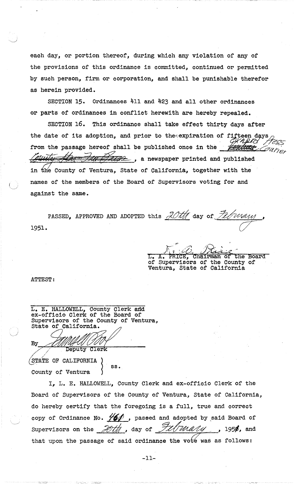eaoh day, or portion thereof, during whioh any violation of any of the provisions of this ordinanoe is committed, continued or permitted by such person, firm or corporation, and shall be punishable therefor as herein provided.

SECTION 15. Ordinances 411 and 423 and all other ordinances or parts of ordinances in conflict herewith are hereby repealed.

SECTION 16. This ordinance shall take effect thirty days after the date of its adoption, and prior to theexpiration of fifteen days<br>from the passage hereof shall be published once in the  $\frac{Q}{Q}$ as herein provided.<br>
SECTION 15. Ordinances 411 and 423 and all other ordinances<br>
or parts of ordinances in conflict herewith are hereby repealed.<br>
SECTION 16. This ordinance shall take effect thirty days after<br>
the date o  $\overline{\mathscr{L}}$ , a newspaper printed and published in the County of Ventura, State of California, together with the names of the members of the Board of Supervisors voting for and against the same.

1951. PASSED, APPROVED AND ADOPTED this  $20$ tth day of *Fellwam* ( /  $\overline{\mathcal{C}}$ 

 $7:2:11$  $\sqrt{1 + i\mathcal{O}_n}$  Prince Chairman of the Board of Supervisors of the County of Ventura, State of California

ATTEST:

L. E. HALLOWELL, County Clerk and ex-officio Clerk of the Board of Supervisors of the County of Ventura, State of California. BUSSE OF ORTHORNER.

 $~\rm$  (STATE OF CALIFORNIA  $\rm \left\{ \right.}_{\rm SS}$  , County of Ventura

I, L. E. HALLOWELL, County Clerk and ex-orricio Clerk' of the Board of SuperVisors of the County of Ventura, state of California, do hereby certify that the foregoing is a full, true and correct copy of Ordinance No.  $\frac{\sqrt{60}}{100}$ , passed and adopted by said Board of<br>Supervisors on the *foth*, day of *fullumum*, 1950, and that upon the passage of said ordinance the vote was as follows:

-11-

 $\mathbb{C}(\mathbb{Z}_2^* \mathbb{Z}_2)$  .  $\mathbb{Z}_2^* \mathbb{Z}_2^*$  . The second complete the second sequence of the sequence  $\mathbb{Z}_2$  ,  $\mathbb{Z}_2$  ,  $\mathbb{Z}_2$  ,  $\mathbb{Z}_2$  ,  $\mathbb{Z}_2$  ,  $\mathbb{Z}_2$  ,  $\mathbb{Z}_2$  ,  $\mathbb{Z}_2$  ,  $\mathbb{Z}_2$  ,  $\mathbb{Z$